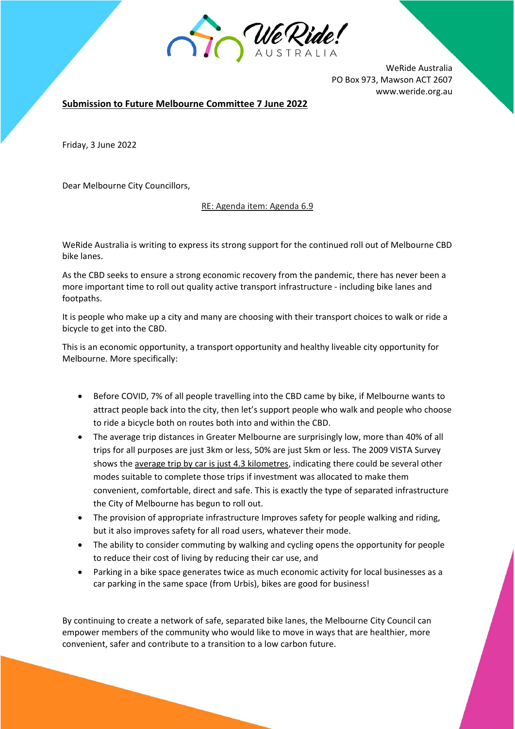

WeRide Australia PO Box 973, Mawson ACT 2607 www.weride.org.au

**Submission to Future Melbourne Committee 7 June 2022**

Friday, 3 June 2022

Dear Melbourne City Councillors,

RE: Agenda item: Agenda 6.9

WeRide Australia is writing to express its strong support for the continued roll out of Melbourne CBD bike lanes.

As the CBD seeks to ensure a strong economic recovery from the pandemic, there has never been a more important time to roll out quality active transport infrastructure - including bike lanes and footpaths.

It is people who make up a city and many are choosing with their transport choices to walk or ride a bicycle to get into the CBD.

This is an economic opportunity, a transport opportunity and healthy liveable city opportunity for Melbourne. More specifically:

- Before COVID, 7% of all people travelling into the CBD came by bike, if Melbourne wants to attract people back into the city, then let's support people who walk and people who choose to ride a bicycle both on routes both into and within the CBD.
- The average trip distances in Greater Melbourne are surprisingly low, more than 40% of all trips for all purposes are just 3km or less, 50% are just 5km or less. The 2009 VISTA Survey shows the average trip by car is just 4.3 kilometres, indicating there could be several other modes suitable to complete those trips if investment was allocated to make them convenient, comfortable, direct and safe. This is exactly the type of separated infrastructure the City of Melbourne has begun to roll out.
- The provision of appropriate infrastructure Improves safety for people walking and riding, but it also improves safety for all road users, whatever their mode.
- The ability to consider commuting by walking and cycling opens the opportunity for people to reduce their cost of living by reducing their car use, and
- Parking in a bike space generates twice as much economic activity for local businesses as a car parking in the same space (from Urbis), bikes are good for business!

By continuing to create a network of safe, separated bike lanes, the Melbourne City Council can empower members of the community who would like to move in ways that are healthier, more convenient, safer and contribute to a transition to a low carbon future.